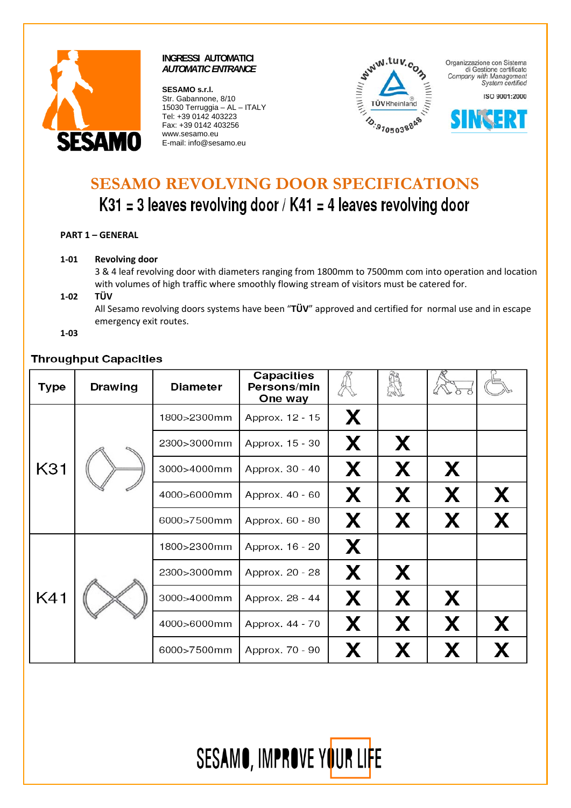

**SESAMO s.r.l.**  Str. Gabannone, 8/10 15030 Terruggia – AL – ITALY Tel: +39 0142 403223 Fax: +39 0142 403256 www.sesamo.eu E-mail: info@sesamo.eu



Organizzazione con Sistema di Gestione certificato Company with Management<br>System certified

ISO 9001:2000



# **SESAMO REVOLVING DOOR SPECIFICATIONS**  K31 = 3 leaves revolving door / K41 = 4 leaves revolving door

**PART 1 – GENERAL**

**1‐01 Revolving door**

3 & 4 leaf revolving door with diameters ranging from 1800mm to 7500mm com into operation and location with volumes of high traffic where smoothly flowing stream of visitors must be catered for.

**1‐02 TÜV**

All Sesamo revolving doors systems have been "**TÜV**" approved and certified for normal use and in escape emergency exit routes.

**1‐03**

## **Throughput Capacities**

| Type | <b>Drawing</b> | <b>Diameter</b> | Capacities<br>Persons/min<br>One way |   |   |   |   |
|------|----------------|-----------------|--------------------------------------|---|---|---|---|
| K31  |                | 1800>2300mm     | Approx. 12 - 15                      | X |   |   |   |
|      |                | 2300>3000mm     | Approx. 15 - 30                      | X | X |   |   |
|      |                | 3000>4000mm     | Approx. 30 - 40                      | X | X | X |   |
|      |                | 4000>6000mm     | Approx. 40 - 60                      | X | X | X | X |
|      |                | 6000>7500mm     | Approx. 60 - 80                      | X | X | X | X |
|      |                | 1800>2300mm     | Approx. 16 - 20                      | X |   |   |   |
| K41  |                | 2300>3000mm     | Approx. 20 - 28                      | X | X |   |   |
|      |                | 3000>4000mm     | Approx. 28 - 44                      | X | X | X |   |
|      |                | 4000>6000mm     | Approx. 44 - 70                      | X | X | X | X |
|      |                | 6000>7500mm     | Approx. 70 - 90                      | X | X | X | X |

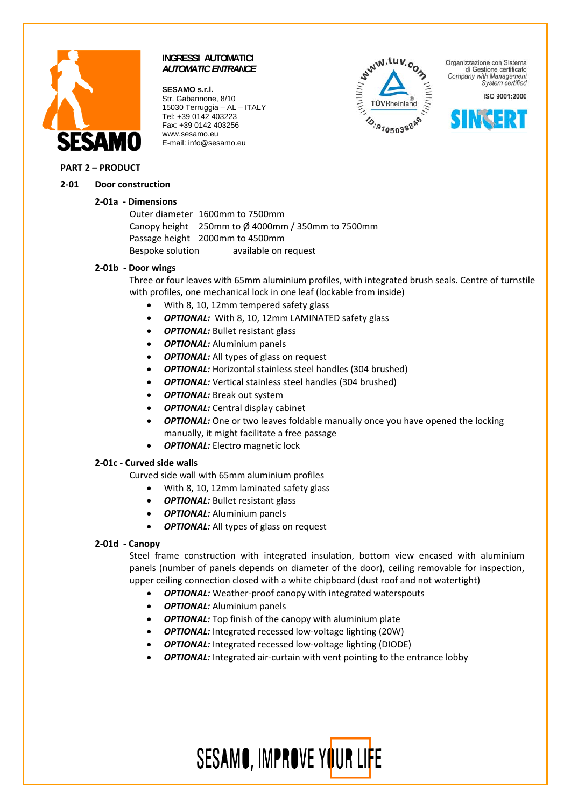

**SESAMO s.r.l.**  Str. Gabannone, 8/10 15030 Terruggia – AL – ITALY Tel: +39 0142 403223 Fax: +39 0142 403256 www.sesamo.eu E-mail: info@sesamo.eu



Organizzazione con Sistema di Gestione certificato Company with Management System certified

ISO 9001:2000



#### **PART 2 – PRODUCT**

#### **2‐01 Door construction**

#### **2‐01a ‐ Dimensions**

Outer diameter 1600mm to 7500mm Canopy height  $250$ mm to  $\emptyset$  4000mm / 350mm to 7500mm Passage height 2000mm to 4500mm Bespoke solution available on request

#### **2‐01b ‐ Door wings**

Three or four leaves with 65mm aluminium profiles, with integrated brush seals. Centre of turnstile with profiles, one mechanical lock in one leaf (lockable from inside)

- With 8, 10, 12mm tempered safety glass
- *OPTIONAL:* With 8, 10, 12mm LAMINATED safety glass
- *OPTIONAL:* Bullet resistant glass
- *OPTIONAL:* Aluminium panels
- *OPTIONAL:* All types of glass on request
- *OPTIONAL:* Horizontal stainless steel handles (304 brushed)
- **OPTIONAL:** Vertical stainless steel handles (304 brushed)
- *OPTIONAL:* Break out system
- *OPTIONAL:* Central display cabinet
- *OPTIONAL:* One or two leaves foldable manually once you have opened the locking manually, it might facilitate a free passage
- *OPTIONAL:* Electro magnetic lock

#### **2‐01c ‐ Curved side walls**

Curved side wall with 65mm aluminium profiles

- With 8, 10, 12mm laminated safety glass
- *OPTIONAL:* Bullet resistant glass
- *OPTIONAL:* Aluminium panels
- **OPTIONAL:** All types of glass on request

## **2‐01d ‐ Canopy**

Steel frame construction with integrated insulation, bottom view encased with aluminium panels (number of panels depends on diameter of the door), ceiling removable for inspection, upper ceiling connection closed with a white chipboard (dust roof and not watertight)

- **OPTIONAL:** Weather-proof canopy with integrated waterspouts
- *OPTIONAL:* Aluminium panels
- *OPTIONAL:* Top finish of the canopy with aluminium plate
- *OPTIONAL:* Integrated recessed low-voltage lighting (20W)
- **OPTIONAL:** Integrated recessed low-voltage lighting (DIODE)
- **OPTIONAL:** Integrated air-curtain with vent pointing to the entrance lobby

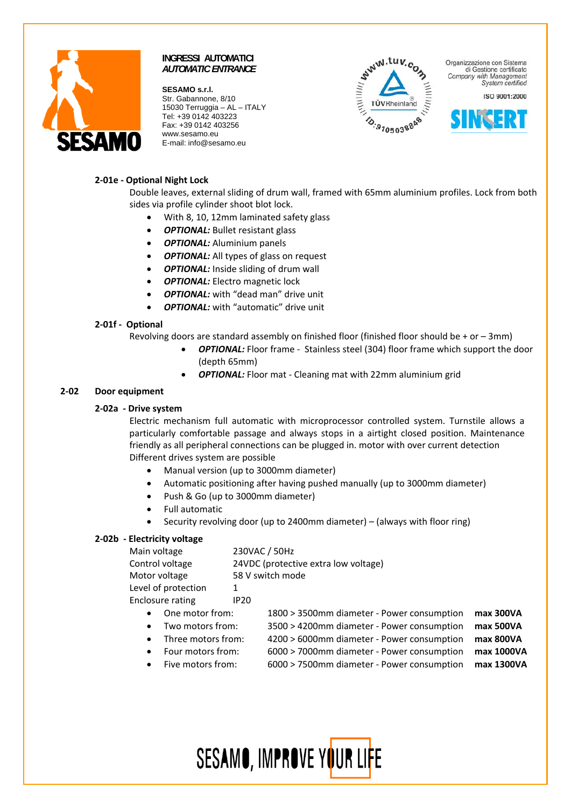

**SESAMO s.r.l.**  Str. Gabannone, 8/10 15030 Terruggia – AL – ITALY Tel: +39 0142 403223 Fax: +39 0142 403256 www.sesamo.eu E-mail: info@sesamo.eu



Organizzazione con Sistema di Gestione certificato Company with Management System certified

ISO 9001:2000



## **2‐01e ‐ Optional Night Lock**

Double leaves, external sliding of drum wall, framed with 65mm aluminium profiles. Lock from both sides via profile cylinder shoot blot lock.

- With 8, 10, 12mm laminated safety glass
- *OPTIONAL:* Bullet resistant glass
- *OPTIONAL:* Aluminium panels
- *OPTIONAL:* All types of glass on request
- **OPTIONAL:** Inside sliding of drum wall
- *OPTIONAL:* Electro magnetic lock
- *OPTIONAL:* with "dead man" drive unit
- **OPTIONAL:** with "automatic" drive unit

## **2‐01f ‐ Optional**

Revolving doors are standard assembly on finished floor (finished floor should be  $+$  or  $-$  3mm)

- **OPTIONAL:** Floor frame Stainless steel (304) floor frame which support the door (depth 65mm)
- *OPTIONAL:* Floor mat ‐ Cleaning mat with 22mm aluminium grid

## **2‐02 Door equipment**

#### **2‐02a ‐ Drive system**

Electric mechanism full automatic with microprocessor controlled system. Turnstile allows a particularly comfortable passage and always stops in a airtight closed position. Maintenance friendly as all peripheral connections can be plugged in. motor with over current detection Different drives system are possible

- Manual version (up to 3000mm diameter)
- Automatic positioning after having pushed manually (up to 3000mm diameter)
- Push & Go (up to 3000mm diameter)
- Full automatic
- Security revolving door (up to 2400mm diameter) (always with floor ring)

## **2‐02b ‐ Electricity voltage**

| Main voltage                                                  |                                      |                                            |            |  |  |  |  |
|---------------------------------------------------------------|--------------------------------------|--------------------------------------------|------------|--|--|--|--|
|                                                               | 230VAC / 50Hz                        |                                            |            |  |  |  |  |
| Control voltage                                               | 24VDC (protective extra low voltage) |                                            |            |  |  |  |  |
| Motor voltage                                                 | 58 V switch mode                     |                                            |            |  |  |  |  |
| Level of protection                                           | 1                                    |                                            |            |  |  |  |  |
| <b>Enclosure rating</b>                                       | <b>IP20</b>                          |                                            |            |  |  |  |  |
| One motor from:<br>$\bullet$<br>Two motors from:<br>$\bullet$ |                                      | 1800 > 3500mm diameter - Power consumption | max 300VA  |  |  |  |  |
|                                                               |                                      | 3500 > 4200mm diameter - Power consumption | max 500VA  |  |  |  |  |
| Three motors from:<br>$\bullet$                               |                                      | 4200 > 6000mm diameter - Power consumption | max 800VA  |  |  |  |  |
| Four motors from:<br>$\bullet$                                |                                      | 6000 > 7000mm diameter - Power consumption | max 1000VA |  |  |  |  |
| Five motors from:<br>$\bullet$                                |                                      | 6000 > 7500mm diameter - Power consumption | max 1300VA |  |  |  |  |
|                                                               |                                      |                                            |            |  |  |  |  |

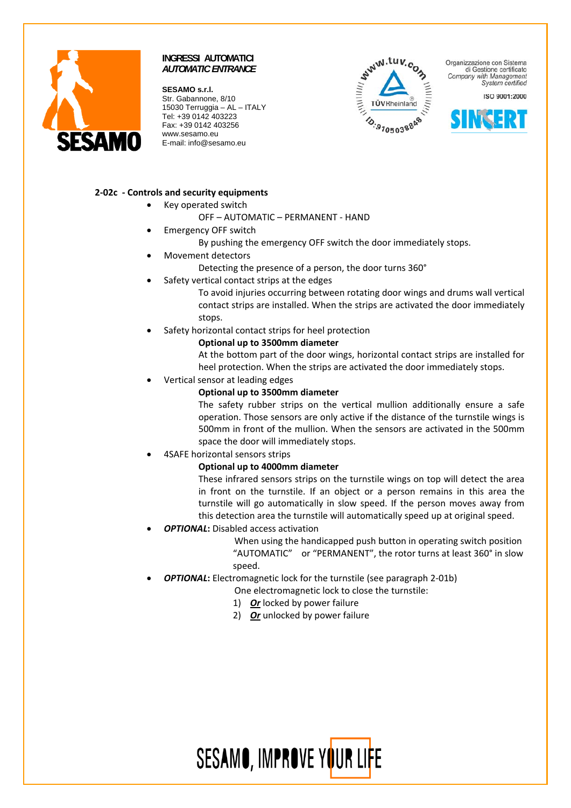

**SESAMO s.r.l.**  Str. Gabannone, 8/10 15030 Terruggia – AL – ITALY Tel: +39 0142 403223 Fax: +39 0142 403256 www.sesamo.eu E-mail: info@sesamo.eu



Organizzazione con Sistema di Gestione certificato Company with Management System certified

ISO 9001:2000



## **2‐02c ‐ Controls and security equipments**

- Key operated switch
	- OFF AUTOMATIC PERMANENT ‐ HAND
- Emergency OFF switch
	- By pushing the emergency OFF switch the door immediately stops.
- Movement detectors
	- Detecting the presence of a person, the door turns 360°
	- Safety vertical contact strips at the edges

To avoid injuries occurring between rotating door wings and drums wall vertical contact strips are installed. When the strips are activated the door immediately stops.

Safety horizontal contact strips for heel protection

## **Optional up to 3500mm diameter**

At the bottom part of the door wings, horizontal contact strips are installed for heel protection. When the strips are activated the door immediately stops.

• Vertical sensor at leading edges

## **Optional up to 3500mm diameter**

The safety rubber strips on the vertical mullion additionally ensure a safe operation. Those sensors are only active if the distance of the turnstile wings is 500mm in front of the mullion. When the sensors are activated in the 500mm space the door will immediately stops.

• 4SAFE horizontal sensors strips

## **Optional up to 4000mm diameter**

These infrared sensors strips on the turnstile wings on top will detect the area in front on the turnstile. If an object or a person remains in this area the turnstile will go automatically in slow speed. If the person moves away from this detection area the turnstile will automatically speed up at original speed.

• *OPTIONAL***:** Disabled access activation

When using the handicapped push button in operating switch position "AUTOMATIC" or "PERMANENT", the rotor turns at least 360° in slow speed.

**OPTIONAL:** Electromagnetic lock for the turnstile (see paragraph 2-01b)

One electromagnetic lock to close the turnstile:

- 1) *Or* locked by power failure
- 2) *Or* unlocked by power failure

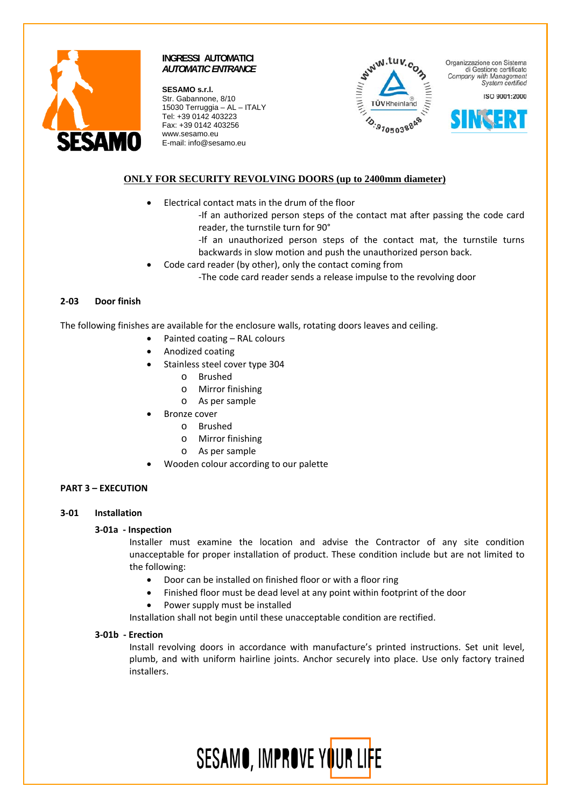

**SESAMO s.r.l.**  Str. Gabannone, 8/10 15030 Terruggia – AL – ITALY Tel: +39 0142 403223 Fax: +39 0142 403256 www.sesamo.eu E-mail: info@sesamo.eu



Organizzazione con Sistema di Gestione certificato Company with Management System certified

ISO 9001:2000



## **ONLY FOR SECURITY REVOLVING DOORS (up to 2400mm diameter)**

- Electrical contact mats in the drum of the floor
	- ‐If an authorized person steps of the contact mat after passing the code card reader, the turnstile turn for 90°
	- ‐If an unauthorized person steps of the contact mat, the turnstile turns backwards in slow motion and push the unauthorized person back.
- Code card reader (by other), only the contact coming from
	- ‐The code card reader sends a release impulse to the revolving door

## **2‐03 Door finish**

The following finishes are available for the enclosure walls, rotating doors leaves and ceiling.

- Painted coating RAL colours
- Anodized coating
- Stainless steel cover type 304
	- o Brushed
	- o Mirror finishing
	- o As per sample
- **Bronze** cover
	- o Brushed
	- o Mirror finishing
	- o As per sample
- Wooden colour according to our palette

## **PART 3 – EXECUTION**

#### **3‐01 Installation**

#### **3‐01a ‐ Inspection**

Installer must examine the location and advise the Contractor of any site condition unacceptable for proper installation of product. These condition include but are not limited to the following:

- Door can be installed on finished floor or with a floor ring
- Finished floor must be dead level at any point within footprint of the door
- Power supply must be installed

Installation shall not begin until these unacceptable condition are rectified.

#### **3‐01b ‐ Erection**

Install revolving doors in accordance with manufacture's printed instructions. Set unit level, plumb, and with uniform hairline joints. Anchor securely into place. Use only factory trained installers.